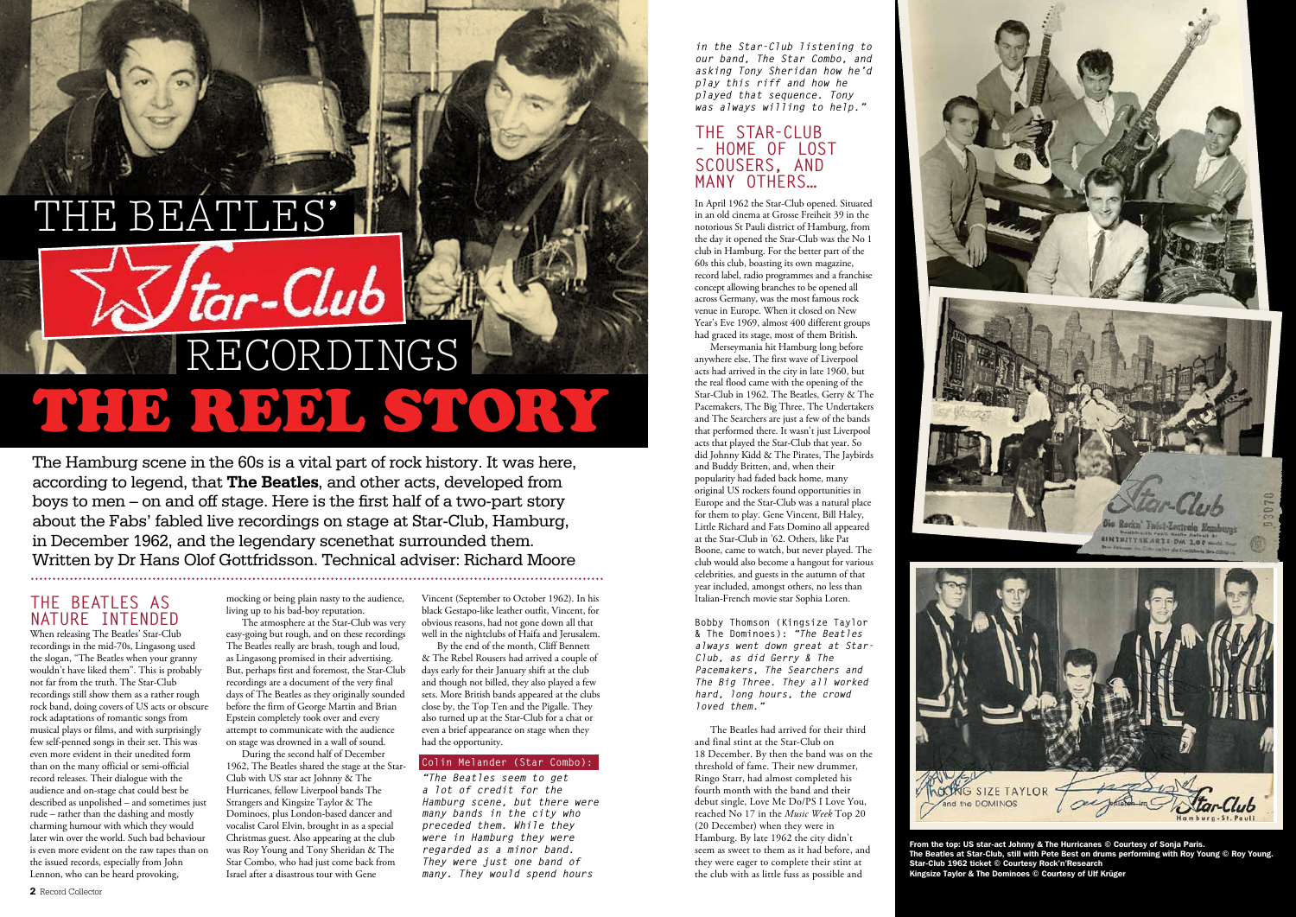*in the Star-Club listening to our band, The Star Combo, and asking Tony Sheridan how he'd play this riff and how he played that sequence. Tony was always willing to help."*

#### **THE STAR-CLUB – HOME OF LOST SCOUSERS, AND MANY OTHERS…**

In April 1962 the Star-Club opened. Situated in an old cinema at Grosse Freiheit 39 in the notorious St Pauli district of Hamburg, from the day it opened the Star-Club was the No 1 club in Hamburg. For the better part of the 60s this club, boasting its own magazine, record label, radio programmes and a franchise concept allowing branches to be opened all across Germany, was the most famous rock venue in Europe. When it closed on New Year's Eve 1969, almost 400 different groups had graced its stage, most of them British.

Merseymania hit Hamburg long before anywhere else. The first wave of Liverpool acts had arrived in the city in late 1960, but the real flood came with the opening of the Star-Club in 1962. The Beatles, Gerry & The Pacemakers, The Big Three, The Undertakers and The Searchers are just a few of the bands that performed there. It wasn't just Liverpool acts that played the Star-Club that year. So did Johnny Kidd & The Pirates, The Jaybirds and Buddy Britten, and, when their popularity had faded back home, many original US rockers found opportunities in Europe and the Star-Club was a natural place for them to play. Gene Vincent, Bill Haley, Little Richard and Fats Domino all appeared at the Star-Club in '62. Others, like Pat Boone, came to watch, but never played. The club would also become a hangout for various celebrities, and guests in the autumn of that year included, amongst others, no less than Italian-French movie star Sophia Loren.

**Bobby Thomson (Kingsize Taylor & The Dominoes):** *"The Beatles always went down great at Star-Club, as did Gerry & The Pacemakers, The Searchers and The Big Three. They all worked hard, long hours, the crowd loved them."*

The Beatles had arrived for their third and final stint at the Star-Club on 18 December. By then the band was on the threshold of fame. Their new drummer, Ringo Starr, had almost completed his fourth month with the band and their debut single, Love Me Do/PS I Love You, reached No 17 in the *Music Week* Top 20 (20 December) when they were in Hamburg. By late 1962 the city didn't seem as sweet to them as it had before, and they were eager to complete their stint at the club with as little fuss as possible and



**SIZE TAYLOI** 

# **THE BEATLES AS NATURE INTENDED**

# THE BEATLES'  $\sqrt{2}$ *tar-Club* RECORDINGS THE REEL STORY

When releasing The Beatles' Star-Club recordings in the mid-70s, Lingasong used the slogan, "The Beatles when your granny wouldn't have liked them". This is probably not far from the truth. The Star-Club recordings still show them as a rather rough rock band, doing covers of US acts or obscure rock adaptations of romantic songs from musical plays or films, and with surprisingly few self-penned songs in their set. This was even more evident in their unedited form than on the many official or semi-official record releases. Their dialogue with the audience and on-stage chat could best be described as unpolished – and sometimes just rude – rather than the dashing and mostly charming humour with which they would later win over the world. Such bad behaviour is even more evident on the raw tapes than on the issued records, especially from John Lennon, who can be heard provoking,

The Hamburg scene in the 60s is a vital part of rock history. It was here, according to legend, that **The Beatles**, and other acts, developed from boys to men – on and off stage. Here is the first half of a two-part story about the Fabs' fabled live recordings on stage at Star-Club, Hamburg, in December 1962, and the legendary scenethat surrounded them. Written by Dr Hans Olof Gottfridsson. Technical adviser: Richard Moore 

> mocking or being plain nasty to the audience, living up to his bad-boy reputation. The atmosphere at the Star-Club was very

easy-going but rough, and on these recordings The Beatles really are brash, tough and loud, as Lingasong promised in their advertising. But, perhaps first and foremost, the Star-Club recordings are a document of the very final days of The Beatles as they originally sounded before the firm of George Martin and Brian Epstein completely took over and every attempt to communicate with the audience on stage was drowned in a wall of sound.

During the second half of December 1962, The Beatles shared the stage at the Star-Club with US star act Johnny & The Hurricanes, fellow Liverpool bands The Strangers and Kingsize Taylor & The Dominoes, plus London-based dancer and vocalist Carol Elvin, brought in as a special Christmas guest. Also appearing at the club was Roy Young and Tony Sheridan & The Star Combo, who had just come back from Israel after a disastrous tour with Gene

Vincent (September to October 1962). In his black Gestapo-like leather outfit, Vincent, for obvious reasons, had not gone down all that well in the nightclubs of Haifa and Jerusalem.

By the end of the month, Cliff Bennett & The Rebel Rousers had arrived a couple of days early for their January shift at the club and though not billed, they also played a few sets. More British bands appeared at the clubs close by, the Top Ten and the Pigalle. They also turned up at the Star-Club for a chat or even a brief appearance on stage when they had the opportunity.

#### **Colin Melander (Star Combo):**

*"The Beatles seem to get a lot of credit for the Hamburg scene, but there were many bands in the city who preceded them. While they were in Hamburg they were regarded as a minor band. They were just one band of many. They would spend hours* 

From the top: US star-act Johnny & The Hurricanes © Courtesy of Sonja Paris. The Beatles at Star-Club, still with Pete Best on drums performing with Roy Young © Roy Young. Star-Club 1962 ticket © Courtesy Rock'n'Research Kingsize Taylor & The Dominoes © Courtesy of Ulf Krüger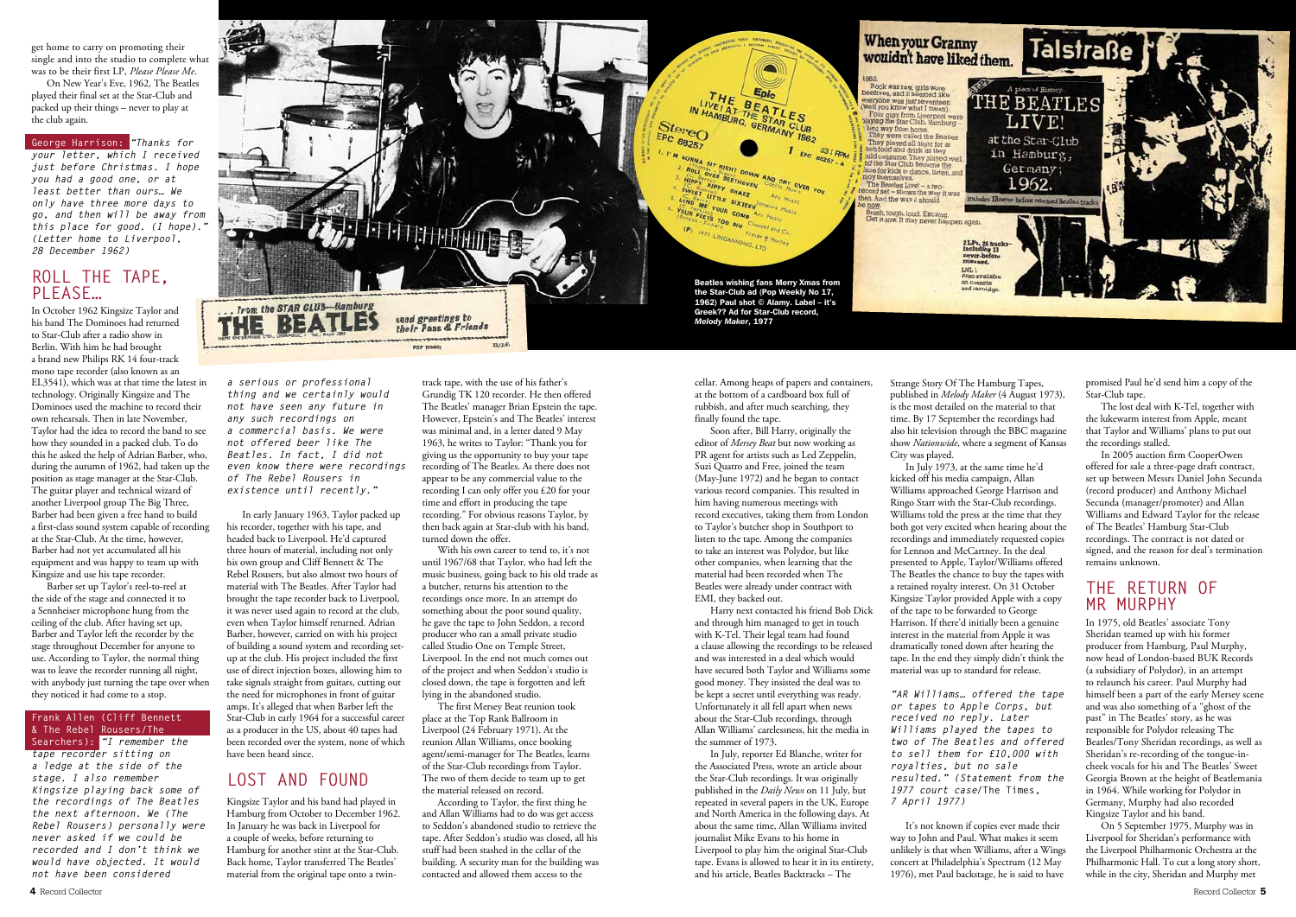*a serious or professional thing and we certainly would not have seen any future in any such recordings on a commercial basis. We were not offered beer like The Beatles. In fact, I did not even know there were recordings of The Rebel Rousers in existence until recently."*

In early January 1963, Taylor packed up his recorder, together with his tape, and headed back to Liverpool. He'd captured three hours of material, including not only his own group and Cliff Bennett & The Rebel Rousers, but also almost two hours of material with The Beatles. After Taylor had brought the tape recorder back to Liverpool, it was never used again to record at the club, even when Taylor himself returned. Adrian Barber, however, carried on with his project of building a sound system and recording setup at the club. His project included the first use of direct injection boxes, allowing him to take signals straight from guitars, cutting out the need for microphones in front of guitar amps. It's alleged that when Barber left the Star-Club in early 1964 for a successful career as a producer in the US, about 40 tapes had been recorded over the system, none of which have been heard since.

## **LOST AND FOUND**

Kingsize Taylor and his band had played in Hamburg from October to December 1962. In January he was back in Liverpool for a couple of weeks, before returning to Hamburg for another stint at the Star-Club. Back home, Taylor transferred The Beatles' material from the original tape onto a twin-

track tape, with the use of his father's Grundig TK 120 recorder. He then offered The Beatles' manager Brian Epstein the tape. However, Epstein's and The Beatles' interest was minimal and, in a letter dated 9 May 1963, he writes to Taylor: "Thank you for giving us the opportunity to buy your tape recording of The Beatles. As there does not appear to be any commercial value to the recording I can only offer you £20 for your time and effort in producing the tape recording." For obvious reasons Taylor, by then back again at Star-club with his band, turned down the offer.

With his own career to tend to, it's not until 1967/68 that Taylor, who had left the music business, going back to his old trade as a butcher, returns his attention to the recordings once more. In an attempt do something about the poor sound quality, he gave the tape to John Seddon, a record producer who ran a small private studio called Studio One on Temple Street, Liverpool. In the end not much comes out of the project and when Seddon's studio is closed down, the tape is forgotten and left lying in the abandoned studio.

The first Mersey Beat reunion took place at the Top Rank Ballroom in Liverpool (24 February 1971). At the reunion Allan Williams, once booking agent/semi-manager for The Beatles, learns of the Star-Club recordings from Taylor. The two of them decide to team up to get the material released on record.

According to Taylor, the first thing he and Allan Williams had to do was get access to Seddon's abandoned studio to retrieve the tape. After Seddon's studio was closed, all his stuff had been stashed in the cellar of the building. A security man for the building was contacted and allowed them access to the

cellar. Among heaps of papers and containers, at the bottom of a cardboard box full of rubbish, and after much searching, they finally found the tape.

Soon after, Bill Harry, originally the editor of *Mersey Beat* but now working as PR agent for artists such as Led Zeppelin, Suzi Quatro and Free, joined the team (May-June 1972) and he began to contact various record companies. This resulted in him having numerous meetings with record executives, taking them from London to Taylor's butcher shop in Southport to listen to the tape. Among the companies to take an interest was Polydor, but like other companies, when learning that the material had been recorded when The Beatles were already under contract with EMI, they backed out.

Harry next contacted his friend Bob Dick and through him managed to get in touch with K-Tel. Their legal team had found a clause allowing the recordings to be released and was interested in a deal which would have secured both Taylor and Williams some good money. They insisted the deal was to be kept a secret until everything was ready. Unfortunately it all fell apart when news about the Star-Club recordings, through Allan Williams' carelessness, hit the media in the summer of 1973.

In July, reporter Ed Blanche, writer for the Associated Press, wrote an article about the Star-Club recordings. It was originally published in the *Daily News* on 11 July, but repeated in several papers in the UK, Europe and North America in the following days. At about the same time, Allan Williams invited journalist Mike Evans to his home in Liverpool to play him the original Star-Club tape. Evans is allowed to hear it in its entirety, and his article, Beatles Backtracks – The

Strange Story Of The Hamburg Tapes, published in *Melody Maker* (4 August 1973), is the most detailed on the material to that time. By 17 September the recordings had also hit television through the BBC magazine show *Nationwide*, where a segment of Kansas City was played.

In July 1973, at the same time he'd kicked off his media campaign, Allan Williams approached George Harrison and Ringo Starr with the Star-Club recordings. Williams told the press at the time that they both got very excited when hearing about the recordings and immediately requested copies for Lennon and McCartney. In the deal presented to Apple, Taylor/Williams offered The Beatles the chance to buy the tapes with a retained royalty interest. On 31 October Kingsize Taylor provided Apple with a copy of the tape to be forwarded to George Harrison. If there'd initially been a genuine interest in the material from Apple it was dramatically toned down after hearing the tape. In the end they simply didn't think the material was up to standard for release.

*"AR Williams… offered the tape or tapes to Apple Corps, but received no reply. Later Williams played the tapes to two of The Beatles and offered to sell them for £10,000 with royalties, but no sale resulted." (Statement from the 1977 court case/***The Times***, 7 April 1977)*

It's not known if copies ever made their way to John and Paul. What makes it seem unlikely is that when Williams, after a Wings concert at Philadelphia's Spectrum (12 May 1976), met Paul backstage, he is said to have

promised Paul he'd send him a copy of the Star-Club tape.

The lost deal with K-Tel, together with the lukewarm interest from Apple, meant that Taylor and Williams' plans to put out the recordings stalled.

In 2005 auction firm CooperOwen offered for sale a three-page draft contract, set up between Messrs Daniel John Secunda (record producer) and Anthony Michael Secunda (manager/promoter) and Allan Williams and Edward Taylor for the release of The Beatles' Hamburg Star-Club recordings. The contract is not dated or signed, and the reason for deal's termination remains unknown.

#### **THE RETURN OF MR MURPHY**

In 1975, old Beatles' associate Tony Sheridan teamed up with his former producer from Hamburg, Paul Murphy, now head of London-based BUK Records (a subsidiary of Polydor), in an attempt to relaunch his career. Paul Murphy had himself been a part of the early Mersey scene and was also something of a "ghost of the past" in The Beatles' story, as he was responsible for Polydor releasing The Beatles/Tony Sheridan recordings, as well as Sheridan's re-recording of the tongue-incheek vocals for his and The Beatles' Sweet Georgia Brown at the height of Beatlemania in 1964. While working for Polydor in Germany, Murphy had also recorded Kingsize Taylor and his band.

On 5 September 1975, Murphy was in Liverpool for Sheridan's performance with the Liverpool Philharmonic Orchestra at the Philharmonic Hall. To cut a long story short, while in the city, Sheridan and Murphy met

get home to carry on promoting their single and into the studio to complete what was to be their first LP, *Please Please Me*.

On New Year's Eve, 1962, The Beatles played their final set at the Star-Club and packed up their things – never to play at the club again.

**George Harrison:** *"Thanks for your letter, which I received just before Christmas. I hope you had a good one, or at least better than ours… We only have three more days to go, and then will be away from this place for good. (I hope)." (Letter home to Liverpool, 28 December 1962)*

### **ROLL THE TAPE, PLEASE…**

In October 1962 Kingsize Taylor and his band The Dominoes had returned to Star-Club after a radio show in Berlin. With him he had brought a brand new Philips RK 14 four-track mono tape recorder (also known as an EL3541), which was at that time the latest in technology. Originally Kingsize and The Dominoes used the machine to record their own rehearsals. Then in late November, Taylor had the idea to record the band to see how they sounded in a packed club. To do this he asked the help of Adrian Barber, who, during the autumn of 1962, had taken up the position as stage manager at the Star-Club. The guitar player and technical wizard of another Liverpool group The Big Three, Barber had been given a free hand to build a first-class sound system capable of recording at the Star-Club. At the time, however, Barber had not yet accumulated all his equipment and was happy to team up with Kingsize and use his tape recorder.

Barber set up Taylor's reel-to-reel at the side of the stage and connected it to a Sennheiser microphone hung from the ceiling of the club. After having set up, Barber and Taylor left the recorder by the stage throughout December for anyone to use. According to Taylor, the normal thing was to leave the recorder running all night, with anybody just turning the tape over when they noticed it had come to a stop.

#### **Frank Allen (Cliff Bennett & The Rebel Rousers/The Searchers):** *"I remember the*

*tape recorder sitting on a ledge at the side of the stage. I also remember Kingsize playing back some of the recordings of The Beatles the next afternoon. We (The Rebel Rousers) personally were never asked if we could be recorded and I don't think we would have objected. It would not have been considered* 

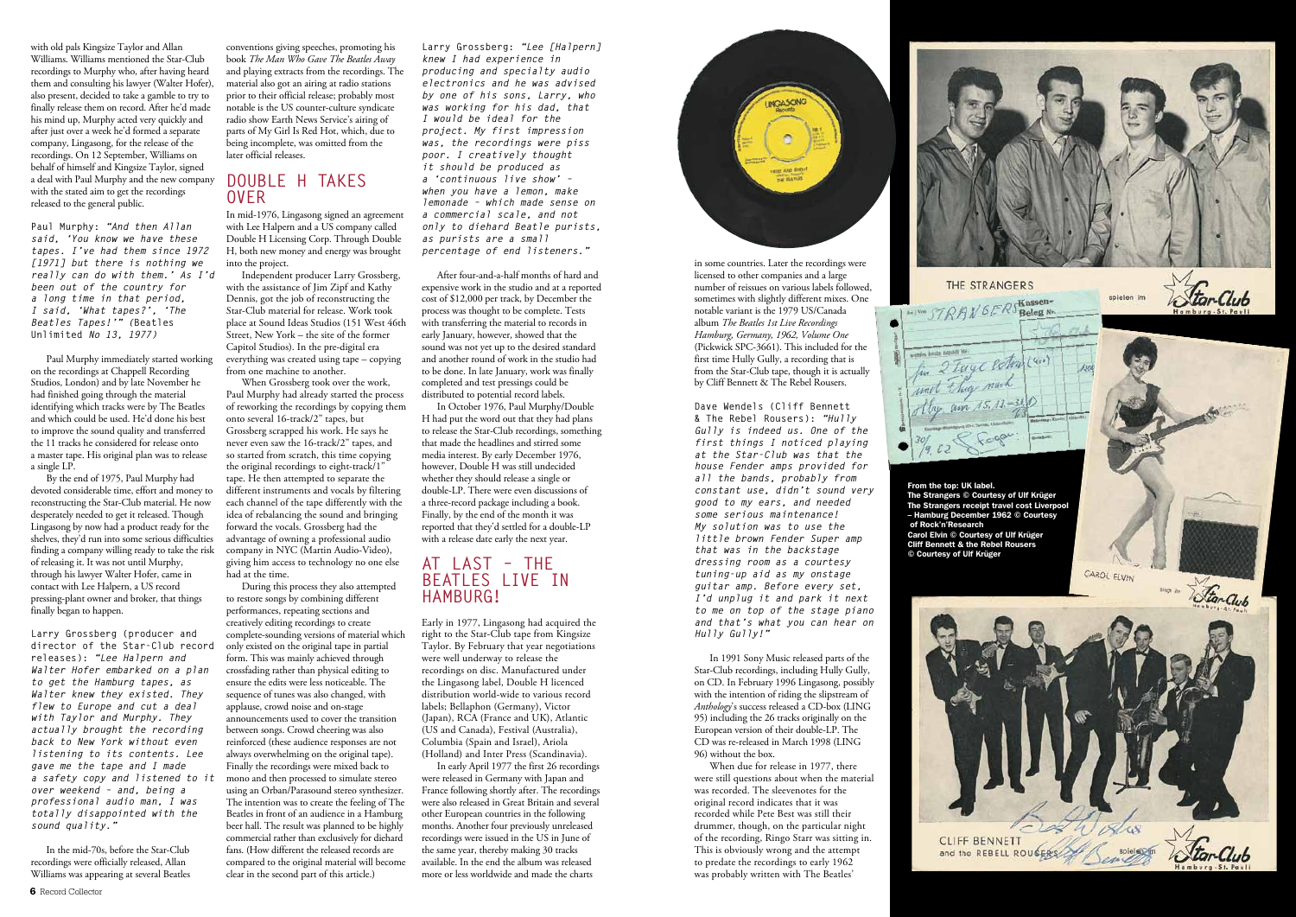with old pals Kingsize Taylor and Allan Williams. Williams mentioned the Star-Club recordings to Murphy who, after having heard them and consulting his lawyer (Walter Hofer), also present, decided to take a gamble to try to finally release them on record. After he'd made his mind up, Murphy acted very quickly and after just over a week he'd formed a separate company, Lingasong, for the release of the recordings. On 12 September, Williams on behalf of himself and Kingsize Taylor, signed a deal with Paul Murphy and the new company with the stated aim to get the recordings released to the general public.

**Paul Murphy:** *"And then Allan said, 'You know we have these tapes. I've had them since 1972 [1971] but there is nothing we really can do with them.' As I'd been out of the country for a long time in that period, I said, 'What tapes?', 'The Beatles Tapes!'" (***Beatles Unlimited** *No 13, 1977)*

Paul Murphy immediately started working on the recordings at Chappell Recording Studios, London) and by late November he had finished going through the material identifying which tracks were by The Beatles and which could be used. He'd done his best to improve the sound quality and transferred the 11 tracks he considered for release onto a master tape. His original plan was to release a single LP.

By the end of 1975, Paul Murphy had devoted considerable time, effort and money to reconstructing the Star-Club material. He now desperately needed to get it released. Though Lingasong by now had a product ready for the shelves, they'd run into some serious difficulties finding a company willing ready to take the risk of releasing it. It was not until Murphy, through his lawyer Walter Hofer, came in contact with Lee Halpern, a US record pressing-plant owner and broker, that things finally began to happen.

In October 1976, Paul Murphy/Double H had put the word out that they had plans to release the Star-Club recordings, something that made the headlines and stirred some media interest. By early December 1976, however, Double H was still undecided whether they should release a single or double-LP. There were even discussions of a three-record package including a book. Finally, by the end of the month it was reported that they'd settled for a double-LP with a release date early the next year.

**Larry Grossberg (producer and director of the Star-Club record releases):** *"Lee Halpern and Walter Hofer embarked on a plan to get the Hamburg tapes, as Walter knew they existed. They flew to Europe and cut a deal with Taylor and Murphy. They actually brought the recording back to New York without even listening to its contents. Lee gave me the tape and I made a safety copy and listened to it over weekend – and, being a professional audio man, I was totally disappointed with the sound quality."*

In the mid-70s, before the Star-Club recordings were officially released, Allan Williams was appearing at several Beatles

**Larry Grossberg:** *"Lee [Halpern] knew I had experience in producing and specialty audio electronics and he was advised by one of his sons, Larry, who was working for his dad, that I would be ideal for the project. My first impression was, the recordings were piss poor. I creatively thought it should be produced as a 'continuous live show' – when you have a lemon, make lemonade – which made sense on a commercial scale, and not only to diehard Beatle purists, as purists are a small percentage of end listeners."*

After four-and-a-half months of hard and expensive work in the studio and at a reported cost of \$12,000 per track, by December the process was thought to be complete. Tests with transferring the material to records in early January, however, showed that the sound was not yet up to the desired standard and another round of work in the studio had to be done. In late January, work was finally completed and test pressings could be distributed to potential record labels.

#### **AT LAST – THE BEATLES LIVE IN HAMBURG!**

Early in 1977, Lingasong had acquired the right to the Star-Club tape from Kingsize Taylor. By February that year negotiations were well underway to release the recordings on disc. Manufactured under the Lingasong label, Double H licenced distribution world-wide to various record labels; Bellaphon (Germany), Victor (Japan), RCA (France and UK), Atlantic (US and Canada), Festival (Australia), Columbia (Spain and Israel), Ariola (Holland) and Inter Press (Scandinavia).

In early April 1977 the first 26 recordings were released in Germany with Japan and France following shortly after. The recordings were also released in Great Britain and several other European countries in the following months. Another four previously unreleased recordings were issued in the US in June of the same year, thereby making 30 tracks available. In the end the album was released more or less worldwide and made the charts



#### **DOUBLE H TAKES OVER**

In mid-1976, Lingasong signed an agreement with Lee Halpern and a US company called Double H Licensing Corp. Through Double H, both new money and energy was brought into the project.

Independent producer Larry Grossberg, with the assistance of Jim Zipf and Kathy Dennis, got the job of reconstructing the Star-Club material for release. Work took place at Sound Ideas Studios (151 West 46th Street, New York – the site of the former Capitol Studios). In the pre-digital era everything was created using tape – copying from one machine to another.

When Grossberg took over the work, Paul Murphy had already started the process of reworking the recordings by copying them onto several 16-track/2" tapes, but Grossberg scrapped his work. He says he never even saw the 16-track/2" tapes, and so started from scratch, this time copying the original recordings to eight-track/1" tape. He then attempted to separate the different instruments and vocals by filtering each channel of the tape differently with the idea of rebalancing the sound and bringing forward the vocals. Grossberg had the advantage of owning a professional audio company in NYC (Martin Audio-Video), giving him access to technology no one else had at the time.

During this process they also attempted to restore songs by combining different performances, repeating sections and creatively editing recordings to create complete-sounding versions of material which only existed on the original tape in partial form. This was mainly achieved through crossfading rather than physical editing to ensure the edits were less noticeable. The sequence of tunes was also changed, with applause, crowd noise and on-stage announcements used to cover the transition between songs. Crowd cheering was also reinforced (these audience responses are not always overwhelming on the original tape). Finally the recordings were mixed back to mono and then processed to simulate stereo using an Orban/Parasound stereo synthesizer. The intention was to create the feeling of The Beatles in front of an audience in a Hamburg beer hall. The result was planned to be highly commercial rather than exclusively for diehard fans. (How different the released records are compared to the original material will become clear in the second part of this article.)

in some countries. Later the recordings were licensed to other companies and a large number of reissues on various labels followed, sometimes with slightly different mixes. One notable variant is the 1979 US/Canada album *The Beatles 1st Live Recordings Hamburg, Germany, 1962, Volume One* (Pickwick SPC-3661). This included for the first time Hully Gully, a recording that is from the Star-Club tape, though it is actually by Cliff Bennett & The Rebel Rousers.

**Dave Wendels (Cliff Bennett & The Rebel Rousers):** *"Hully Gully is indeed us. One of the first things I noticed playing at the Star-Club was that the house Fender amps provided for all the bands, probably from constant use, didn't sound very good to my ears, and needed some serious maintenance! My solution was to use the little brown Fender Super amp that was in the backstage dressing room as a courtesy tuning-up aid as my onstage guitar amp. Before every set, I'd unplug it and park it next to me on top of the stage piano and that's what you can hear on Hully Gully!"*

In 1991 Sony Music released parts of the Star-Club recordings, including Hully Gully, on CD. In February 1996 Lingasong, possibly with the intention of riding the slipstream of *Anthology*'s success released a CD-box (LING 95) including the 26 tracks originally on the European version of their double-LP. The CD was re-released in March 1998 (LING 96) without the box.

When due for release in 1977, there were still questions about when the material was recorded. The sleevenotes for the original record indicates that it was recorded while Pete Best was still their drummer, though, on the particular night of the recording, Ringo Starr was sitting in. This is obviously wrong and the attempt to predate the recordings to early 1962 was probably written with The Beatles'





From the top: UK label. The Strangers © Courtesy of Ulf Krüger The Strangers receipt travel cost Liverpool – Hamburg December 1962 © Courtesy of Rock'n'Research Carol Elvin © Courtesy of Ulf Krüger Cliff Bennett & the Rebel Rousers © Courtesy of Ulf Krüger



CAROL ELVIN